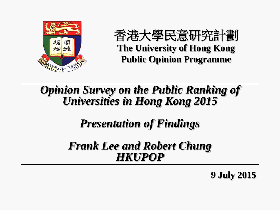

香港大學民意研究計劃 **The University of Hong Kong Public Opinion Programme**

*Opinion Survey on the Public Ranking of Universities in Hong Kong 2015*

*Presentation of Findings*

*Frank Lee and Robert Chung HKUPOP*

**9 July 2015**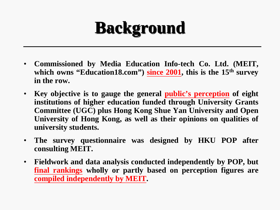# **Background**

- **Commissioned by Media Education Info-tech Co. Ltd. (MEIT, which owns "Education18.com") since 2001, this is the 15th survey in the row.**
- **Key objective is to gauge the general public's perception of eight institutions of higher education funded through University Grants Committee (UGC) plus Hong Kong Shue Yan University and Open University of Hong Kong, as well as their opinions on qualities of university students.**
- **The survey questionnaire was designed by HKU POP after consulting MEIT.**
- **Fieldwork and data analysis conducted independently by POP, but final rankings wholly or partly based on perception figures are compiled independently by MEIT.**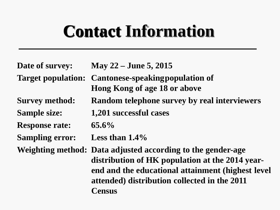## **Contact Information**

| Date of survey:           | May 22 – June 5, 2015                                                                                                                                                                                                         |
|---------------------------|-------------------------------------------------------------------------------------------------------------------------------------------------------------------------------------------------------------------------------|
| <b>Target population:</b> | <b>Cantonese-speaking population of</b><br><b>Hong Kong of age 18 or above</b>                                                                                                                                                |
| <b>Survey method:</b>     | <b>Random telephone survey by real interviewers</b>                                                                                                                                                                           |
| <b>Sample size:</b>       | 1,201 successful cases                                                                                                                                                                                                        |
| <b>Response rate:</b>     | $65.6\%$                                                                                                                                                                                                                      |
| <b>Sampling error:</b>    | Less than $1.4\%$                                                                                                                                                                                                             |
|                           | Weighting method: Data adjusted according to the gender-age<br>distribution of HK population at the 2014 year-<br>end and the educational attainment (highest level<br>attended) distribution collected in the 2011<br>Census |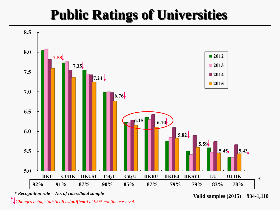## **Public Ratings of Universities**



\* *Recognition rate = No. of raters/total sample*

**Valid samples (2015)**:**934-1,110**

*Changes being statistically significant at 95% confidence level.*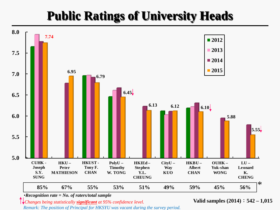### **Public Ratings of University Heads**



•*Recognition rate = No. of raters/total sample*

*Changes being statistically significant at 95% confidence level.*

*Remark: The position of Principal for HKSYU was vacant during the survey period.*

**Valid samples (2014)**:**542 – 1,015**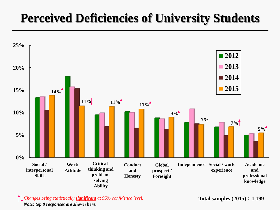### **Perceived Deficiencies of University Students**



 *Changes being statistically significant at 95% confidence level.* **Total samples (2015)**:**1,199** *Note: top 8 responses are shown here.*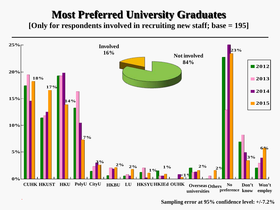#### **Most Preferred University Graduates**

**[Only for respondents involved in recruiting new staff; base = 195]**



**Sampling error at 95% confidence level: +/-7.2%**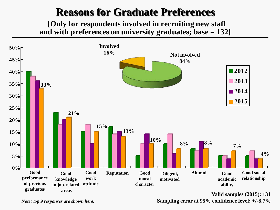#### **Reasons for Graduate Preferences**

**[Only for respondents involved in recruiting new staff and with preferences on university graduates; base = 132]**



**Valid samples (2015): 131 Sampling error at 95% confidence level: +/-8.7%**

*Note: top 9 responses are shown here.*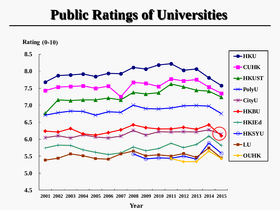### **Public Ratings of Universities**



**Year**